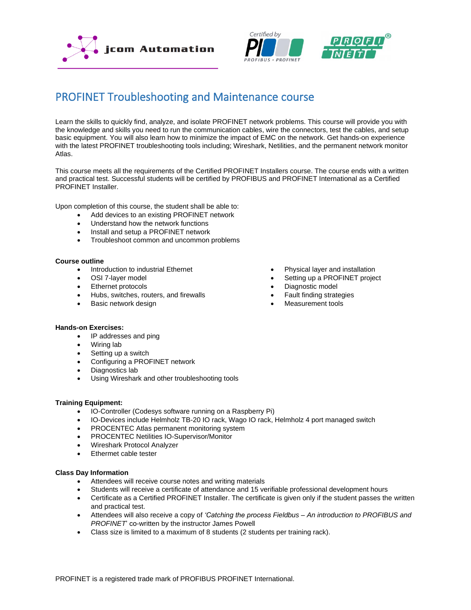





# PROFINET Troubleshooting and Maintenance course

Learn the skills to quickly find, analyze, and isolate PROFINET network problems. This course will provide you with the knowledge and skills you need to run the communication cables, wire the connectors, test the cables, and setup basic equipment. You will also learn how to minimize the impact of EMC on the network. Get hands-on experience with the latest PROFINET troubleshooting tools including; Wireshark, Netilities, and the permanent network monitor Atlas.

This course meets all the requirements of the Certified PROFINET Installers course. The course ends with a written and practical test. Successful students will be certified by PROFIBUS and PROFINET International as a Certified PROFINET Installer.

Upon completion of this course, the student shall be able to:

- Add devices to an existing PROFINET network
- Understand how the network functions
- Install and setup a PROFINET network
- Troubleshoot common and uncommon problems

## **Course outline**

- Introduction to industrial Ethernet
- OSI 7-layer model
- Ethernet protocols
- Hubs, switches, routers, and firewalls
- Basic network design
- Physical layer and installation
- Setting up a PROFINET project
- Diagnostic model
- Fault finding strategies
- Measurement tools

# **Hands-on Exercises:**

- IP addresses and ping
- Wiring lab
- Setting up a switch
- Configuring a PROFINET network
- Diagnostics lab
- Using Wireshark and other troubleshooting tools

# **Training Equipment:**

- IO-Controller (Codesys software running on a Raspberry Pi)
- IO-Devices include Helmholz TB-20 IO rack, Wago IO rack, Helmholz 4 port managed switch
- PROCENTEC Atlas permanent monitoring system
- PROCENTEC Netilities IO-Supervisor/Monitor
- Wireshark Protocol Analyzer
- Ethermet cable tester

## **Class Day Information**

- Attendees will receive course notes and writing materials
- Students will receive a certificate of attendance and 15 verifiable professional development hours
- Certificate as a Certified PROFINET Installer. The certificate is given only if the student passes the written and practical test.
- Attendees will also receive a copy of *'Catching the process Fieldbus – An introduction to PROFIBUS and PROFINET*' co-written by the instructor James Powell
- Class size is limited to a maximum of 8 students (2 students per training rack).